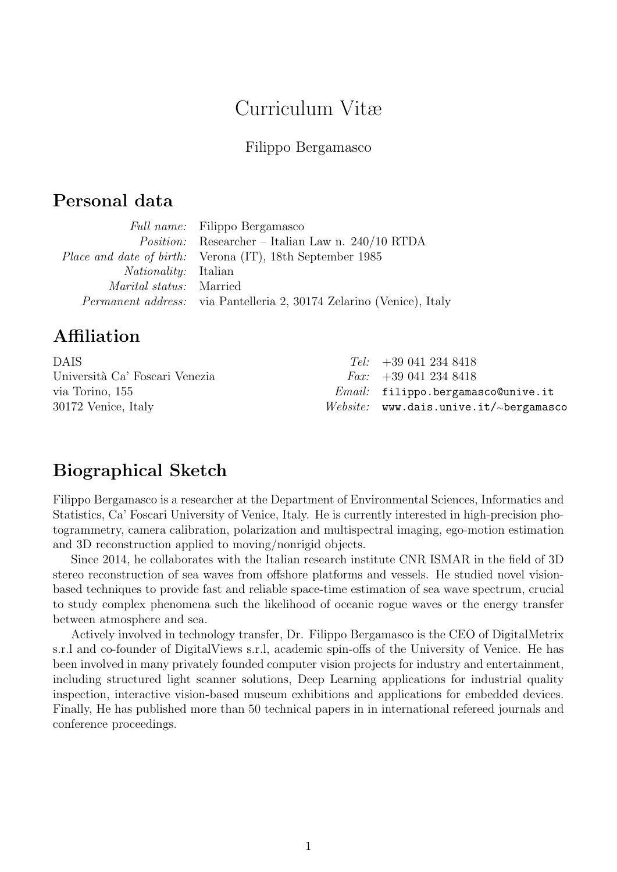# Curriculum Vitæ

#### Filippo Bergamasco

## Personal data

|                                | <i>Full name:</i> Filippo Bergamasco                                        |
|--------------------------------|-----------------------------------------------------------------------------|
|                                | <i>Position:</i> Researcher – Italian Law n. $240/10$ RTDA                  |
|                                | <i>Place and date of birth:</i> Verona (IT), 18th September 1985            |
| <i>Nationality:</i> Italian    |                                                                             |
| <i>Marital status:</i> Married |                                                                             |
|                                | <i>Permanent address:</i> via Pantelleria 2, 30174 Zelarino (Venice), Italy |

## Affiliation

| $Tel: +390412348418$                     |
|------------------------------------------|
| <i>Fax:</i> $+390412348418$              |
| $Email:$ filippo.bergamasco@unive.it     |
| $Website:$ www.dais.unive.it/~bergamasco |
|                                          |

## Biographical Sketch

Filippo Bergamasco is a researcher at the Department of Environmental Sciences, Informatics and Statistics, Ca' Foscari University of Venice, Italy. He is currently interested in high-precision photogrammetry, camera calibration, polarization and multispectral imaging, ego-motion estimation and 3D reconstruction applied to moving/nonrigid objects.

Since 2014, he collaborates with the Italian research institute CNR ISMAR in the field of 3D stereo reconstruction of sea waves from offshore platforms and vessels. He studied novel visionbased techniques to provide fast and reliable space-time estimation of sea wave spectrum, crucial to study complex phenomena such the likelihood of oceanic rogue waves or the energy transfer between atmosphere and sea.

Actively involved in technology transfer, Dr. Filippo Bergamasco is the CEO of DigitalMetrix s.r.l and co-founder of DigitalViews s.r.l, academic spin-offs of the University of Venice. He has been involved in many privately founded computer vision projects for industry and entertainment, including structured light scanner solutions, Deep Learning applications for industrial quality inspection, interactive vision-based museum exhibitions and applications for embedded devices. Finally, He has published more than 50 technical papers in in international refereed journals and conference proceedings.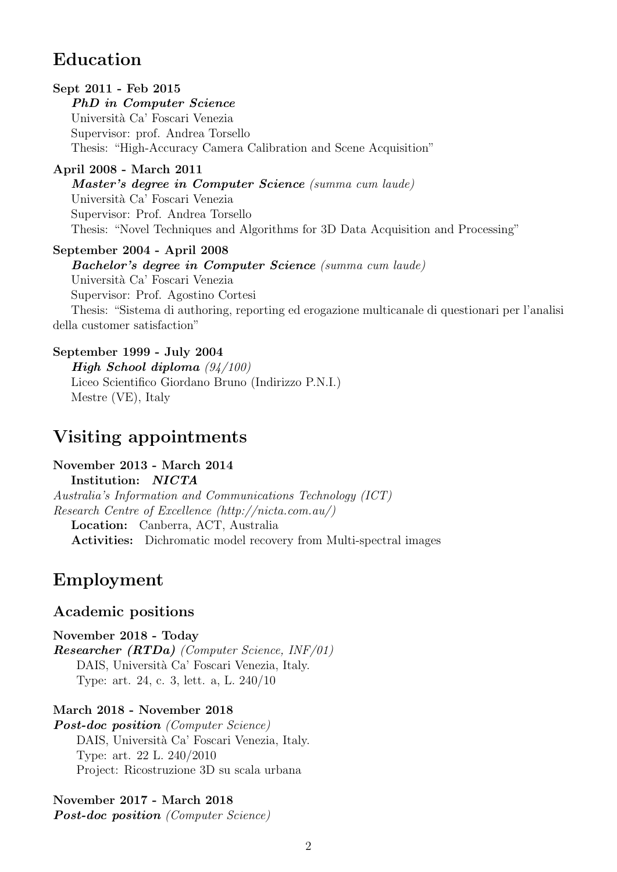# Education

#### Sept 2011 - Feb 2015

PhD in Computer Science Università Ca' Foscari Venezia Supervisor: prof. Andrea Torsello Thesis: "High-Accuracy Camera Calibration and Scene Acquisition"

#### April 2008 - March 2011

Master's degree in Computer Science (summa cum laude) Università Ca' Foscari Venezia Supervisor: Prof. Andrea Torsello Thesis: "Novel Techniques and Algorithms for 3D Data Acquisition and Processing"

#### September 2004 - April 2008

Bachelor's degree in Computer Science (summa cum laude) Università Ca' Foscari Venezia Supervisor: Prof. Agostino Cortesi Thesis: "Sistema di authoring, reporting ed erogazione multicanale di questionari per l'analisi della customer satisfaction"

#### September 1999 - July 2004

High School diploma (94/100) Liceo Scientifico Giordano Bruno (Indirizzo P.N.I.) Mestre (VE), Italy

# Visiting appointments

November 2013 - March 2014 Institution: NICTA Australia's Information and Communications Technology (ICT) Research Centre of Excellence (http://nicta.com.au/) Location: Canberra, ACT, Australia Activities: Dichromatic model recovery from Multi-spectral images

## Employment

### Academic positions

November 2018 - Today Researcher (RTDa) (Computer Science, INF/01) DAIS, Università Ca' Foscari Venezia, Italy. Type: art. 24, c. 3, lett. a, L. 240/10

#### March 2018 - November 2018

Post-doc position (Computer Science) DAIS, Università Ca' Foscari Venezia, Italy. Type: art. 22 L. 240/2010 Project: Ricostruzione 3D su scala urbana

November 2017 - March 2018 Post-doc position (Computer Science)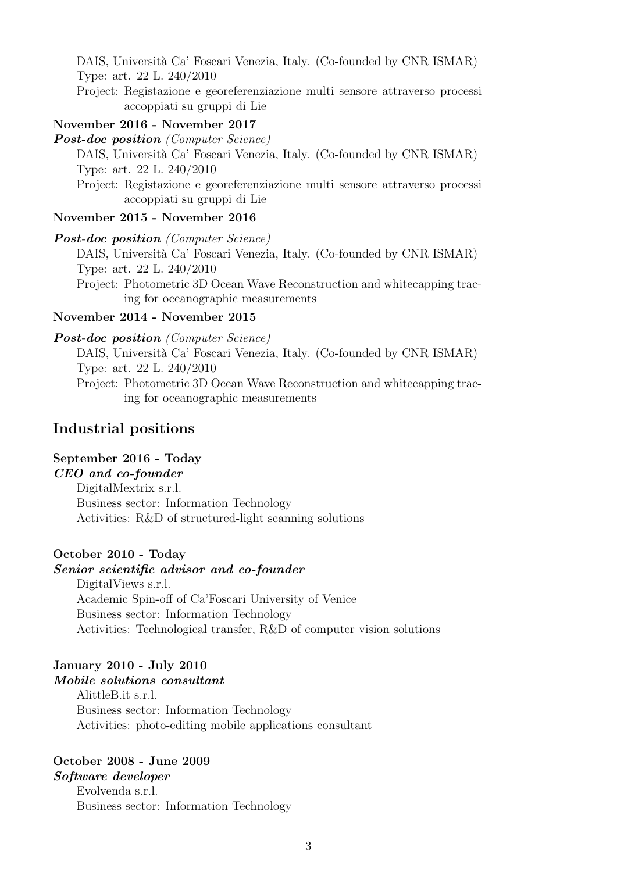DAIS, Università Ca' Foscari Venezia, Italy. (Co-founded by CNR ISMAR) Type: art. 22 L. 240/2010

Project: Registazione e georeferenziazione multi sensore attraverso processi accoppiati su gruppi di Lie

#### November 2016 - November 2017

**Post-doc position** (Computer Science)

DAIS, Universit`a Ca' Foscari Venezia, Italy. (Co-founded by CNR ISMAR) Type: art. 22 L. 240/2010

Project: Registazione e georeferenziazione multi sensore attraverso processi accoppiati su gruppi di Lie

#### November 2015 - November 2016

#### Post-doc position (Computer Science)

DAIS, Università Ca' Foscari Venezia, Italy. (Co-founded by CNR ISMAR) Type: art. 22 L. 240/2010

Project: Photometric 3D Ocean Wave Reconstruction and whitecapping tracing for oceanographic measurements

#### November 2014 - November 2015

#### Post-doc position (Computer Science)

DAIS, Università Ca' Foscari Venezia, Italy. (Co-founded by CNR ISMAR) Type: art. 22 L. 240/2010

Project: Photometric 3D Ocean Wave Reconstruction and whitecapping tracing for oceanographic measurements

#### Industrial positions

#### September 2016 - Today

#### CEO and co-founder

DigitalMextrix s.r.l. Business sector: Information Technology Activities: R&D of structured-light scanning solutions

#### October 2010 - Today

#### Senior scientific advisor and co-founder

DigitalViews s.r.l. Academic Spin-off of Ca'Foscari University of Venice Business sector: Information Technology Activities: Technological transfer, R&D of computer vision solutions

#### January 2010 - July 2010 Mobile solutions consultant

AlittleB.it s.r.l. Business sector: Information Technology Activities: photo-editing mobile applications consultant

## October 2008 - June 2009

Software developer Evolvenda s.r.l. Business sector: Information Technology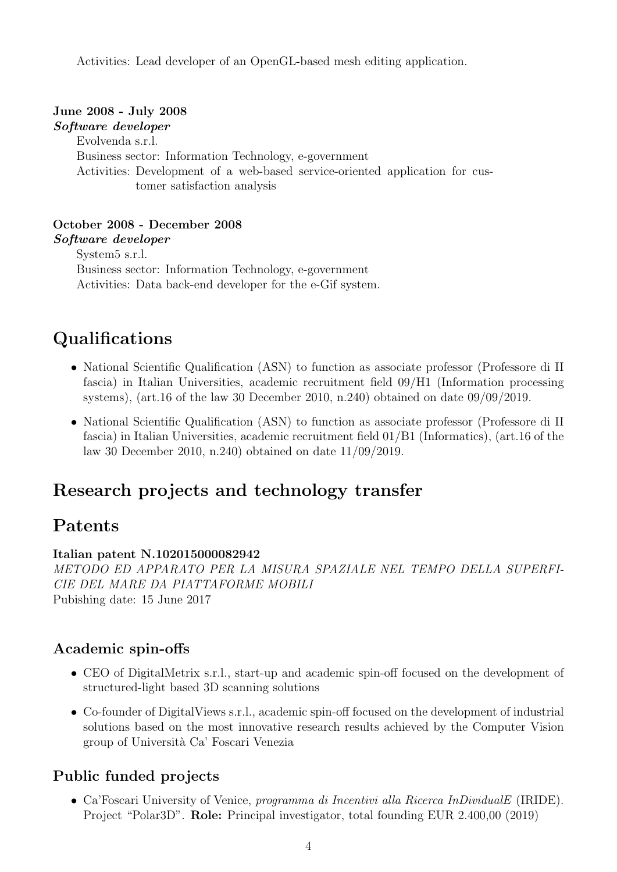Activities: Lead developer of an OpenGL-based mesh editing application.

#### June 2008 - July 2008 Software developer

Evolvenda s.r.l. Business sector: Information Technology, e-government Activities: Development of a web-based service-oriented application for customer satisfaction analysis

October 2008 - December 2008 Software developer System5 s.r.l. Business sector: Information Technology, e-government Activities: Data back-end developer for the e-Gif system.

# Qualifications

- National Scientific Qualification (ASN) to function as associate professor (Professore di II fascia) in Italian Universities, academic recruitment field 09/H1 (Information processing systems), (art.16 of the law 30 December 2010, n.240) obtained on date 09/09/2019.
- National Scientific Qualification (ASN) to function as associate professor (Professore di II fascia) in Italian Universities, academic recruitment field 01/B1 (Informatics), (art.16 of the law 30 December 2010, n.240) obtained on date 11/09/2019.

# Research projects and technology transfer

# Patents

### Italian patent N.102015000082942

METODO ED APPARATO PER LA MISURA SPAZIALE NEL TEMPO DELLA SUPERFI-CIE DEL MARE DA PIATTAFORME MOBILI Pubishing date: 15 June 2017

### Academic spin-offs

- CEO of DigitalMetrix s.r.l., start-up and academic spin-off focused on the development of structured-light based 3D scanning solutions
- Co-founder of DigitalViews s.r.l., academic spin-off focused on the development of industrial solutions based on the most innovative research results achieved by the Computer Vision group of Universit`a Ca' Foscari Venezia

## Public funded projects

• Ca'Foscari University of Venice, programma di Incentivi alla Ricerca InDividualE (IRIDE). Project "Polar3D". Role: Principal investigator, total founding EUR 2.400,00 (2019)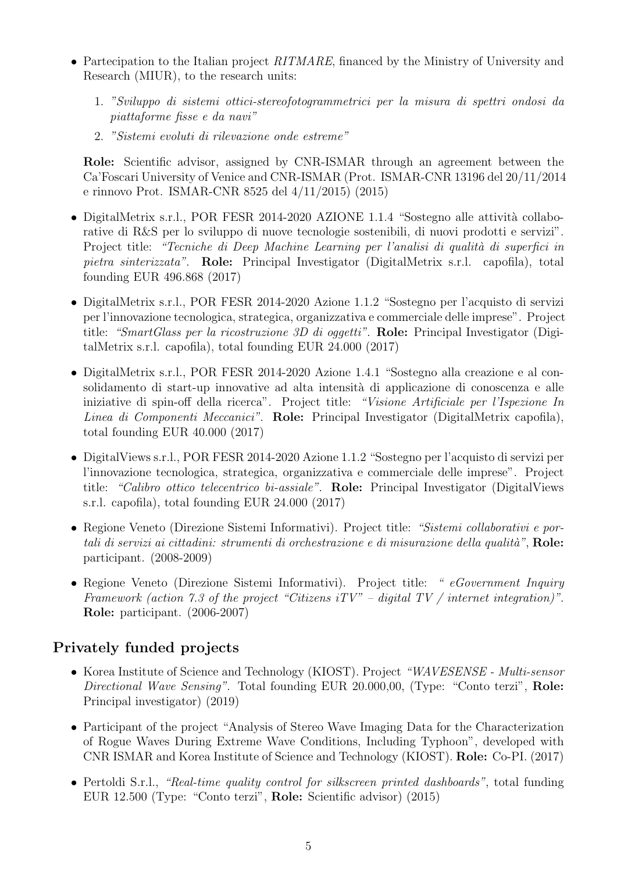- Partecipation to the Italian project RITMARE, financed by the Ministry of University and Research (MIUR), to the research units:
	- 1. "Sviluppo di sistemi ottici-stereofotogrammetrici per la misura di spettri ondosi da piattaforme fisse e da navi"
	- 2. "Sistemi evoluti di rilevazione onde estreme"

Role: Scientific advisor, assigned by CNR-ISMAR through an agreement between the Ca'Foscari University of Venice and CNR-ISMAR (Prot. ISMAR-CNR 13196 del 20/11/2014 e rinnovo Prot. ISMAR-CNR 8525 del 4/11/2015) (2015)

- DigitalMetrix s.r.l., POR FESR 2014-2020 AZIONE 1.1.4 "Sostegno alle attività collaborative di R&S per lo sviluppo di nuove tecnologie sostenibili, di nuovi prodotti e servizi". Project title: "Tecniche di Deep Machine Learning per l'analisi di qualità di superfici in pietra sinterizzata". Role: Principal Investigator (DigitalMetrix s.r.l. capofila), total founding EUR 496.868 (2017)
- DigitalMetrix s.r.l., POR FESR 2014-2020 Azione 1.1.2 "Sostegno per l'acquisto di servizi per l'innovazione tecnologica, strategica, organizzativa e commerciale delle imprese". Project title: "SmartGlass per la ricostruzione 3D di oggetti". Role: Principal Investigator (DigitalMetrix s.r.l. capofila), total founding EUR 24.000 (2017)
- DigitalMetrix s.r.l., POR FESR 2014-2020 Azione 1.4.1 "Sostegno alla creazione e al consolidamento di start-up innovative ad alta intensità di applicazione di conoscenza e alle iniziative di spin-off della ricerca". Project title: "Visione Artificiale per l'Ispezione In Linea di Componenti Meccanici". Role: Principal Investigator (DigitalMetrix capofila), total founding EUR 40.000 (2017)
- DigitalViews s.r.l., POR FESR 2014-2020 Azione 1.1.2 "Sostegno per l'acquisto di servizi per l'innovazione tecnologica, strategica, organizzativa e commerciale delle imprese". Project title: "Calibro ottico telecentrico bi-assiale". Role: Principal Investigator (DigitalViews s.r.l. capofila), total founding EUR 24.000 (2017)
- Regione Veneto (Direzione Sistemi Informativi). Project title: "Sistemi collaborativi e portali di servizi ai cittadini: strumenti di orchestrazione e di misurazione della qualità",  $\text{Role}:$ participant. (2008-2009)
- Regione Veneto (Direzione Sistemi Informativi). Project title: "eGovernment Inquiry Framework (action 7.3 of the project "Citizens  $iTV$ " – digital TV / internet integration)". Role: participant. (2006-2007)

### Privately funded projects

- Korea Institute of Science and Technology (KIOST). Project "WAVESENSE Multi-sensor Directional Wave Sensing". Total founding EUR 20.000,00, (Type: "Conto terzi", Role: Principal investigator) (2019)
- Participant of the project "Analysis of Stereo Wave Imaging Data for the Characterization of Rogue Waves During Extreme Wave Conditions, Including Typhoon", developed with CNR ISMAR and Korea Institute of Science and Technology (KIOST). Role: Co-PI. (2017)
- Pertoldi S.r.l., "Real-time quality control for silkscreen printed dashboards", total funding EUR 12.500 (Type: "Conto terzi", Role: Scientific advisor) (2015)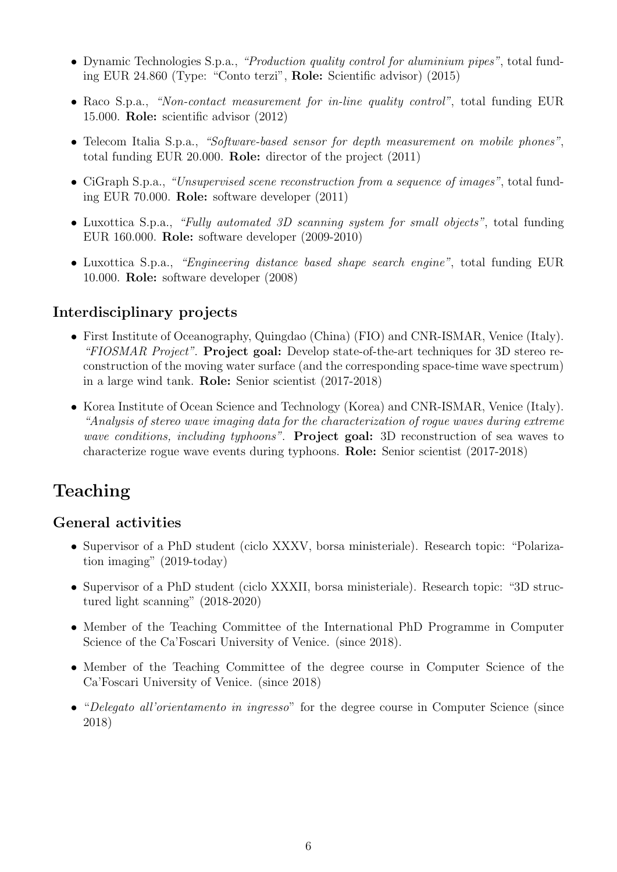- Dynamic Technologies S.p.a., "Production quality control for aluminium pipes", total funding EUR 24.860 (Type: "Conto terzi", Role: Scientific advisor) (2015)
- Raco S.p.a., "Non-contact measurement for in-line quality control", total funding EUR 15.000. Role: scientific advisor (2012)
- Telecom Italia S.p.a., "Software-based sensor for depth measurement on mobile phones", total funding EUR 20.000. Role: director of the project (2011)
- CiGraph S.p.a., "Unsupervised scene reconstruction from a sequence of images", total funding EUR 70.000. Role: software developer (2011)
- Luxottica S.p.a., "Fully automated 3D scanning system for small objects", total funding EUR 160.000. Role: software developer (2009-2010)
- Luxottica S.p.a., "Engineering distance based shape search engine", total funding EUR 10.000. Role: software developer (2008)

## Interdisciplinary projects

- First Institute of Oceanography, Quingdao (China) (FIO) and CNR-ISMAR, Venice (Italy). "FIOSMAR Project". Project goal: Develop state-of-the-art techniques for 3D stereo reconstruction of the moving water surface (and the corresponding space-time wave spectrum) in a large wind tank. Role: Senior scientist (2017-2018)
- Korea Institute of Ocean Science and Technology (Korea) and CNR-ISMAR, Venice (Italy). "Analysis of stereo wave imaging data for the characterization of rogue waves during extreme wave conditions, including typhoons". **Project goal:** 3D reconstruction of sea waves to characterize rogue wave events during typhoons. Role: Senior scientist (2017-2018)

# Teaching

### General activities

- Supervisor of a PhD student (ciclo XXXV, borsa ministeriale). Research topic: "Polarization imaging" (2019-today)
- Supervisor of a PhD student (ciclo XXXII, borsa ministeriale). Research topic: "3D structured light scanning" (2018-2020)
- Member of the Teaching Committee of the International PhD Programme in Computer Science of the Ca'Foscari University of Venice. (since 2018).
- Member of the Teaching Committee of the degree course in Computer Science of the Ca'Foscari University of Venice. (since 2018)
- "Delegato all'orientamento in ingresso" for the degree course in Computer Science (since 2018)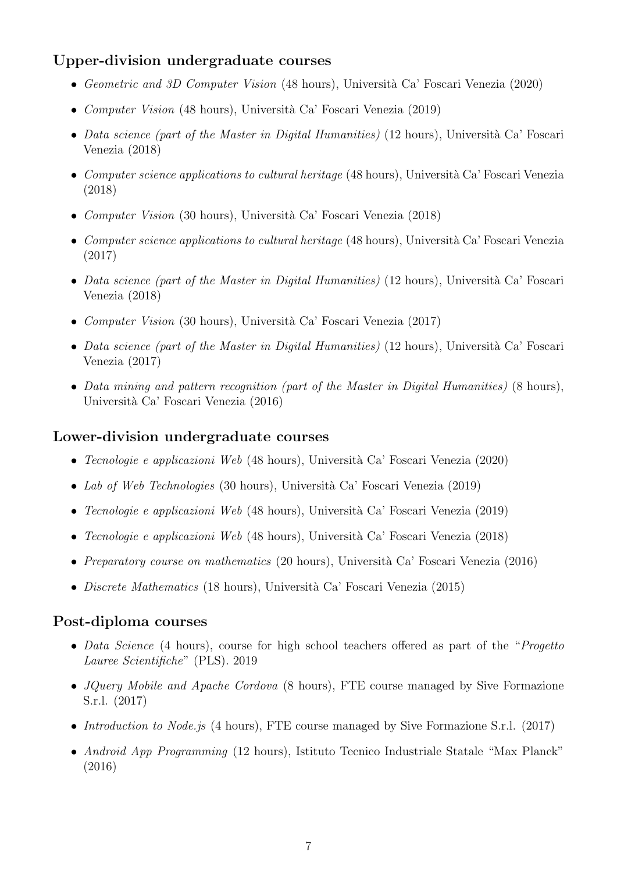## Upper-division undergraduate courses

- Geometric and 3D Computer Vision (48 hours), Università Ca' Foscari Venezia (2020)
- *Computer Vision* (48 hours), Università Ca' Foscari Venezia (2019)
- Data science (part of the Master in Digital Humanities) (12 hours), Università Ca' Foscari Venezia (2018)
- Computer science applications to cultural heritage  $(48 \text{ hours})$ , Università Ca' Foscari Venezia (2018)
- Computer Vision (30 hours), Università Ca' Foscari Venezia (2018)
- Computer science applications to cultural heritage  $(48 \text{ hours})$ , Università Ca' Foscari Venezia (2017)
- Data science (part of the Master in Digital Humanities) (12 hours), Università Ca' Foscari Venezia (2018)
- *Computer Vision* (30 hours), Università Ca' Foscari Venezia (2017)
- Data science (part of the Master in Digital Humanities) (12 hours), Università Ca' Foscari Venezia (2017)
- Data mining and pattern recognition (part of the Master in Digital Humanities) (8 hours), Università Ca' Foscari Venezia (2016)

#### Lower-division undergraduate courses

- Tecnologie e applicazioni Web (48 hours), Università Ca' Foscari Venezia (2020)
- Lab of Web Technologies (30 hours), Università Ca' Foscari Venezia (2019)
- Tecnologie e applicazioni Web (48 hours), Università Ca' Foscari Venezia (2019)
- Tecnologie e applicazioni Web (48 hours), Università Ca' Foscari Venezia (2018)
- Preparatory course on mathematics (20 hours), Università Ca' Foscari Venezia (2016)
- *Discrete Mathematics* (18 hours), Università Ca' Foscari Venezia (2015)

#### Post-diploma courses

- Data Science (4 hours), course for high school teachers offered as part of the "*Progetto*" Lauree Scientifiche" (PLS). 2019
- *JOuery Mobile and Apache Cordova* (8 hours), FTE course managed by Sive Formazione S.r.l. (2017)
- Introduction to Node.js (4 hours), FTE course managed by Sive Formazione S.r.l. (2017)
- Android App Programming (12 hours), Istituto Tecnico Industriale Statale "Max Planck" (2016)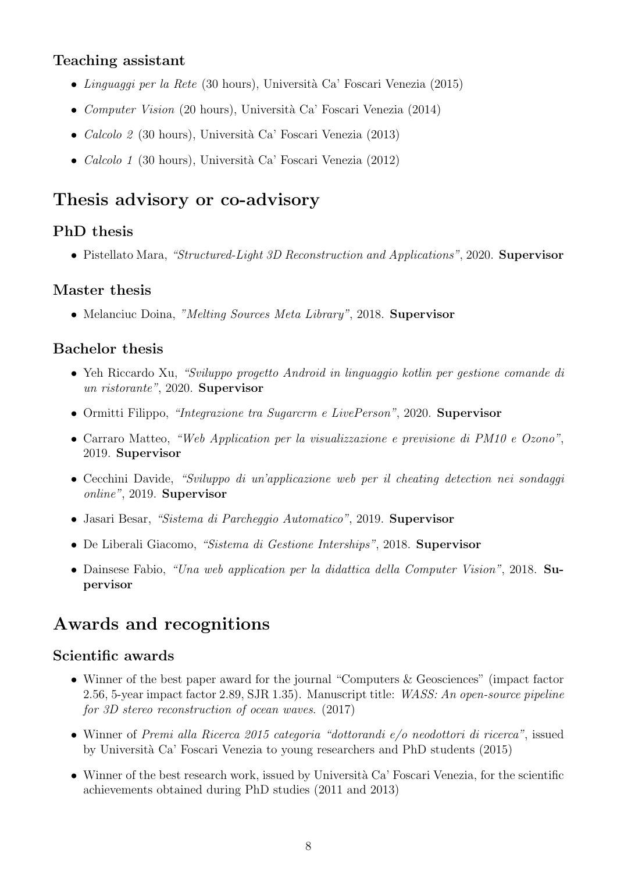### Teaching assistant

- Linguaggi per la Rete (30 hours), Università Ca' Foscari Venezia (2015)
- *Computer Vision* (20 hours), Università Ca' Foscari Venezia (2014)
- Calcolo 2 (30 hours), Università Ca' Foscari Venezia (2013)
- Calcolo 1 (30 hours), Università Ca' Foscari Venezia (2012)

# Thesis advisory or co-advisory

## PhD thesis

• Pistellato Mara, "Structured-Light 3D Reconstruction and Applications", 2020. Supervisor

### Master thesis

• Melanciuc Doina, "Melting Sources Meta Library", 2018. Supervisor

### Bachelor thesis

- Yeh Riccardo Xu, "Sviluppo progetto Android in linguaggio kotlin per gestione comande di un ristorante", 2020. Supervisor
- Ormitti Filippo, "Integrazione tra Sugarcrm e LivePerson", 2020. Supervisor
- Carraro Matteo, "Web Application per la visualizzazione e previsione di PM10 e Ozono", 2019. Supervisor
- Cecchini Davide, "Sviluppo di un'applicazione web per il cheating detection nei sondaggi online", 2019. Supervisor
- Jasari Besar, "Sistema di Parcheggio Automatico", 2019. Supervisor
- De Liberali Giacomo, "Sistema di Gestione Interships", 2018. Supervisor
- Dainsese Fabio, "Una web application per la didattica della Computer Vision", 2018. Supervisor

# Awards and recognitions

### Scientific awards

- Winner of the best paper award for the journal "Computers & Geosciences" (impact factor 2.56, 5-year impact factor 2.89, SJR 1.35). Manuscript title: WASS: An open-source pipeline for 3D stereo reconstruction of ocean waves. (2017)
- Winner of Premi alla Ricerca 2015 categoria "dottorandi e/o neodottori di ricerca", issued by Universit`a Ca' Foscari Venezia to young researchers and PhD students (2015)
- Winner of the best research work, issued by Università Ca' Foscari Venezia, for the scientific achievements obtained during PhD studies (2011 and 2013)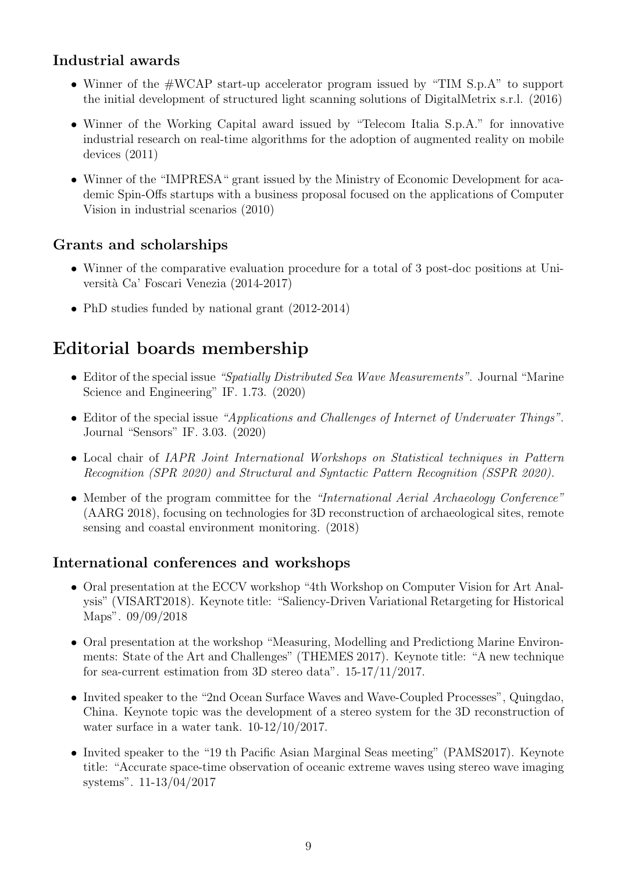## Industrial awards

- Winner of the  $\#WCAP$  start-up accelerator program issued by "TIM S.p.A" to support the initial development of structured light scanning solutions of DigitalMetrix s.r.l. (2016)
- Winner of the Working Capital award issued by "Telecom Italia S.p.A." for innovative industrial research on real-time algorithms for the adoption of augmented reality on mobile devices (2011)
- Winner of the "IMPRESA" grant issued by the Ministry of Economic Development for academic Spin-Offs startups with a business proposal focused on the applications of Computer Vision in industrial scenarios (2010)

## Grants and scholarships

- Winner of the comparative evaluation procedure for a total of 3 post-doc positions at Università Ca' Foscari Venezia (2014-2017)
- PhD studies funded by national grant (2012-2014)

# Editorial boards membership

- Editor of the special issue "Spatially Distributed Sea Wave Measurements". Journal "Marine" Science and Engineering" IF. 1.73. (2020)
- Editor of the special issue "Applications and Challenges of Internet of Underwater Things". Journal "Sensors" IF. 3.03. (2020)
- Local chair of IAPR Joint International Workshops on Statistical techniques in Pattern Recognition (SPR 2020) and Structural and Syntactic Pattern Recognition (SSPR 2020).
- Member of the program committee for the "International Aerial Archaeology Conference" (AARG 2018), focusing on technologies for 3D reconstruction of archaeological sites, remote sensing and coastal environment monitoring. (2018)

### International conferences and workshops

- Oral presentation at the ECCV workshop "4th Workshop on Computer Vision for Art Analysis" (VISART2018). Keynote title: "Saliency-Driven Variational Retargeting for Historical Maps". 09/09/2018
- Oral presentation at the workshop "Measuring, Modelling and Predictiong Marine Environments: State of the Art and Challenges" (THEMES 2017). Keynote title: "A new technique for sea-current estimation from 3D stereo data". 15-17/11/2017.
- Invited speaker to the "2nd Ocean Surface Waves and Wave-Coupled Processes", Quingdao, China. Keynote topic was the development of a stereo system for the 3D reconstruction of water surface in a water tank. 10-12/10/2017.
- Invited speaker to the "19 th Pacific Asian Marginal Seas meeting" (PAMS2017). Keynote title: "Accurate space-time observation of oceanic extreme waves using stereo wave imaging systems". 11-13/04/2017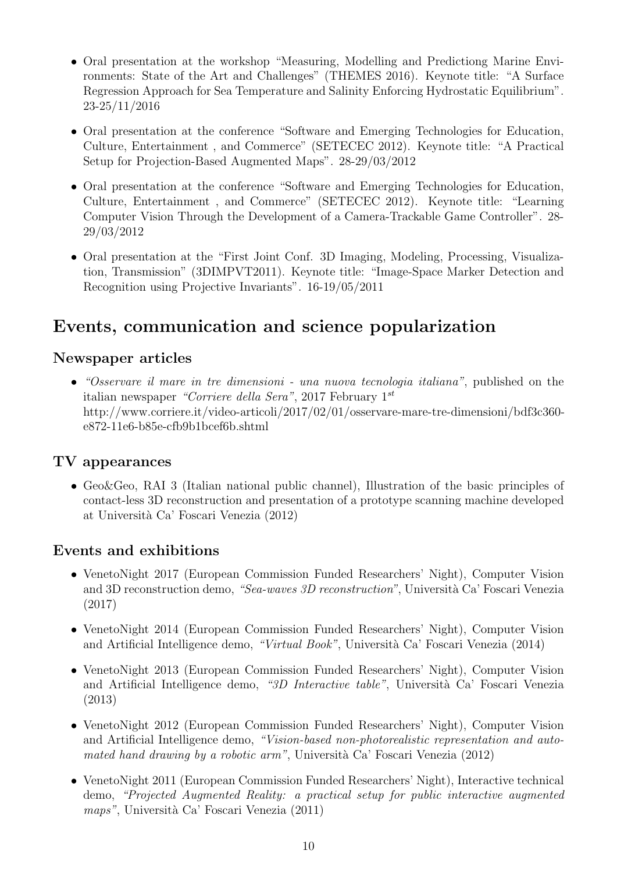- Oral presentation at the workshop "Measuring, Modelling and Predictiong Marine Environments: State of the Art and Challenges" (THEMES 2016). Keynote title: "A Surface Regression Approach for Sea Temperature and Salinity Enforcing Hydrostatic Equilibrium". 23-25/11/2016
- Oral presentation at the conference "Software and Emerging Technologies for Education, Culture, Entertainment , and Commerce" (SETECEC 2012). Keynote title: "A Practical Setup for Projection-Based Augmented Maps". 28-29/03/2012
- Oral presentation at the conference "Software and Emerging Technologies for Education, Culture, Entertainment , and Commerce" (SETECEC 2012). Keynote title: "Learning Computer Vision Through the Development of a Camera-Trackable Game Controller". 28- 29/03/2012
- Oral presentation at the "First Joint Conf. 3D Imaging, Modeling, Processing, Visualization, Transmission" (3DIMPVT2011). Keynote title: "Image-Space Marker Detection and Recognition using Projective Invariants". 16-19/05/2011

# Events, communication and science popularization

### Newspaper articles

• "Osservare il mare in tre dimensioni - una nuova tecnologia italiana", published on the italian newspaper "Corriere della Sera", 2017 February  $1^{st}$ http://www.corriere.it/video-articoli/2017/02/01/osservare-mare-tre-dimensioni/bdf3c360 e872-11e6-b85e-cfb9b1bcef6b.shtml

### TV appearances

• Geo&Geo, RAI 3 (Italian national public channel), Illustration of the basic principles of contact-less 3D reconstruction and presentation of a prototype scanning machine developed at Universit`a Ca' Foscari Venezia (2012)

### Events and exhibitions

- VenetoNight 2017 (European Commission Funded Researchers' Night), Computer Vision and 3D reconstruction demo, "Sea-waves  $3D$  reconstruction", Università Ca' Foscari Venezia (2017)
- VenetoNight 2014 (European Commission Funded Researchers' Night), Computer Vision and Artificial Intelligence demo, "Virtual Book", Università Ca' Foscari Venezia (2014)
- VenetoNight 2013 (European Commission Funded Researchers' Night), Computer Vision and Artificial Intelligence demo, "3D Interactive table", Università Ca' Foscari Venezia (2013)
- VenetoNight 2012 (European Commission Funded Researchers' Night), Computer Vision and Artificial Intelligence demo, "Vision-based non-photorealistic representation and automated hand drawing by a robotic arm", Università Ca' Foscari Venezia (2012)
- VenetoNight 2011 (European Commission Funded Researchers' Night), Interactive technical demo, "Projected Augmented Reality: a practical setup for public interactive augmented  $maps$ ", Università Ca' Foscari Venezia (2011)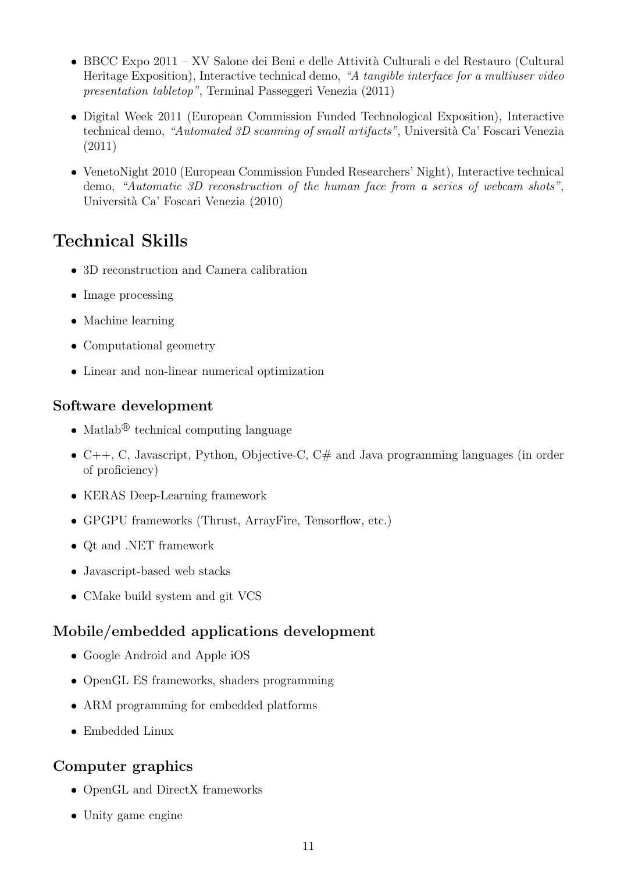- BBCC Expo 2011 XV Salone dei Beni e delle Attività Culturali e del Restauro (Cultural Heritage Exposition), Interactive technical demo, "A tangible interface for a multiuser video presentation tabletop", Terminal Passeggeri Venezia (2011)
- Digital Week 2011 (European Commission Funded Technological Exposition), Interactive technical demo, "Automated 3D scanning of small artifacts", Università Ca' Foscari Venezia (2011)
- VenetoNight 2010 (European Commission Funded Researchers' Night), Interactive technical demo, "Automatic 3D reconstruction of the human face from a series of webcam shots", Università Ca' Foscari Venezia (2010)

# Technical Skills

- 3D reconstruction and Camera calibration
- Image processing
- Machine learning
- Computational geometry
- Linear and non-linear numerical optimization

## Software development

- Matlab<sup>®</sup> technical computing language
- $C_{++}$ , C, Javascript, Python, Objective-C,  $C_{+}$  and Java programming languages (in order of proficiency)
- KERAS Deep-Learning framework
- GPGPU frameworks (Thrust, ArrayFire, Tensorflow, etc.)
- Qt and .NET framework
- Javascript-based web stacks
- CMake build system and git VCS

## Mobile/embedded applications development

- Google Android and Apple iOS
- OpenGL ES frameworks, shaders programming
- ARM programming for embedded platforms
- Embedded Linux

## Computer graphics

- OpenGL and DirectX frameworks
- Unity game engine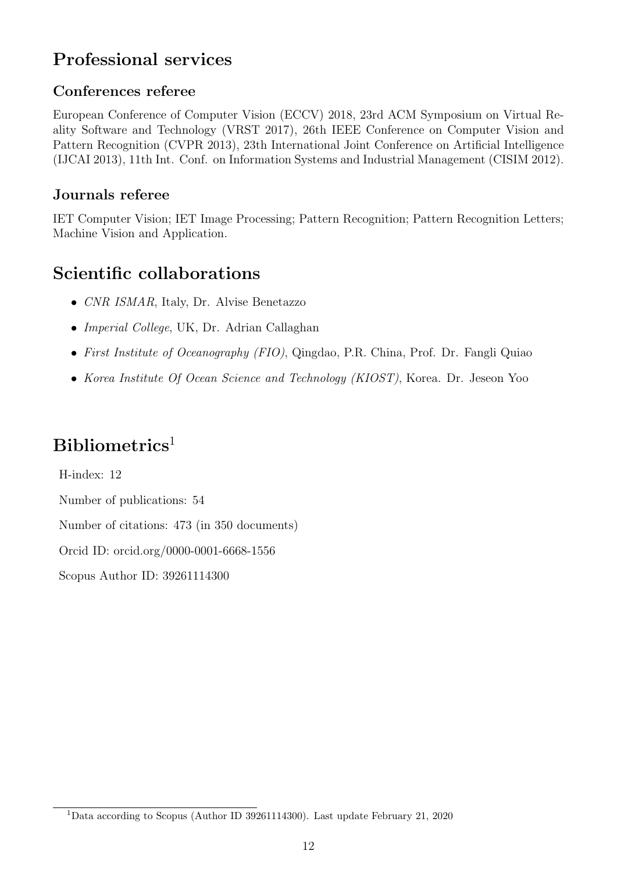# Professional services

## Conferences referee

European Conference of Computer Vision (ECCV) 2018, 23rd ACM Symposium on Virtual Reality Software and Technology (VRST 2017), 26th IEEE Conference on Computer Vision and Pattern Recognition (CVPR 2013), 23th International Joint Conference on Artificial Intelligence (IJCAI 2013), 11th Int. Conf. on Information Systems and Industrial Management (CISIM 2012).

## Journals referee

IET Computer Vision; IET Image Processing; Pattern Recognition; Pattern Recognition Letters; Machine Vision and Application.

# Scientific collaborations

- CNR ISMAR, Italy, Dr. Alvise Benetazzo
- Imperial College, UK, Dr. Adrian Callaghan
- First Institute of Oceanography (FIO), Qingdao, P.R. China, Prof. Dr. Fangli Quiao
- Korea Institute Of Ocean Science and Technology (KIOST), Korea. Dr. Jeseon Yoo

# $Bibliometrics<sup>1</sup>$

H-index: 12 Number of publications: 54 Number of citations: 473 (in 350 documents) Orcid ID: orcid.org/0000-0001-6668-1556 Scopus Author ID: 39261114300

<sup>1</sup>Data according to Scopus (Author ID 39261114300). Last update February 21, 2020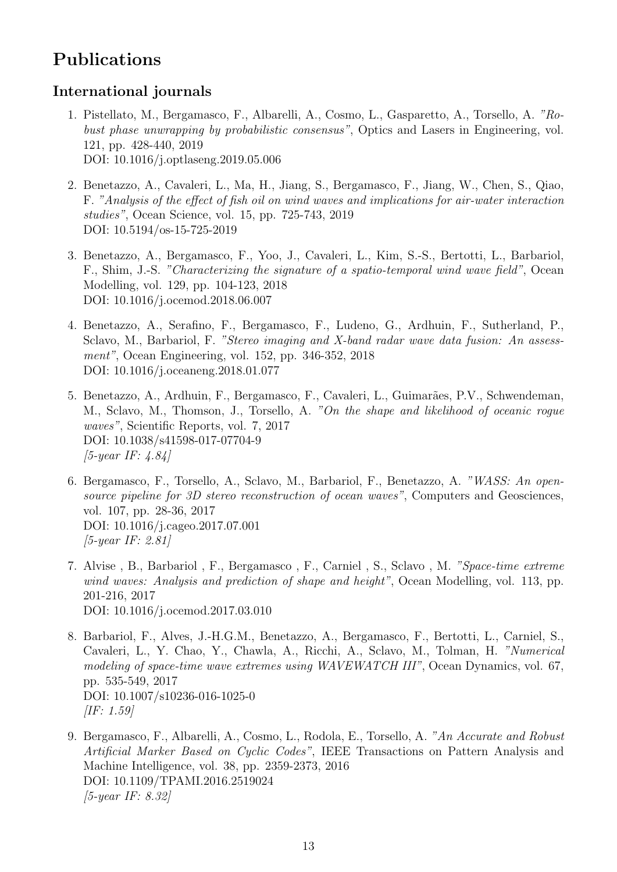# Publications

## International journals

- 1. Pistellato, M., Bergamasco, F., Albarelli, A., Cosmo, L., Gasparetto, A., Torsello, A. "Robust phase unwrapping by probabilistic consensus", Optics and Lasers in Engineering, vol. 121, pp. 428-440, 2019 DOI: 10.1016/j.optlaseng.2019.05.006
- 2. Benetazzo, A., Cavaleri, L., Ma, H., Jiang, S., Bergamasco, F., Jiang, W., Chen, S., Qiao, F. "Analysis of the effect of fish oil on wind waves and implications for air-water interaction studies", Ocean Science, vol. 15, pp. 725-743, 2019 DOI: 10.5194/os-15-725-2019
- 3. Benetazzo, A., Bergamasco, F., Yoo, J., Cavaleri, L., Kim, S.-S., Bertotti, L., Barbariol, F., Shim, J.-S. "Characterizing the signature of a spatio-temporal wind wave field", Ocean Modelling, vol. 129, pp. 104-123, 2018 DOI: 10.1016/j.ocemod.2018.06.007
- 4. Benetazzo, A., Serafino, F., Bergamasco, F., Ludeno, G., Ardhuin, F., Sutherland, P., Sclavo, M., Barbariol, F. "Stereo imaging and X-band radar wave data fusion: An assessment", Ocean Engineering, vol. 152, pp. 346-352, 2018 DOI: 10.1016/j.oceaneng.2018.01.077
- 5. Benetazzo, A., Ardhuin, F., Bergamasco, F., Cavaleri, L., Guimarães, P.V., Schwendeman, M., Sclavo, M., Thomson, J., Torsello, A. "On the shape and likelihood of oceanic rogue waves", Scientific Reports, vol. 7, 2017 DOI: 10.1038/s41598-017-07704-9  $[5-year IF: 4.84]$
- 6. Bergamasco, F., Torsello, A., Sclavo, M., Barbariol, F., Benetazzo, A. "WASS: An opensource pipeline for 3D stereo reconstruction of ocean waves", Computers and Geosciences, vol. 107, pp. 28-36, 2017 DOI: 10.1016/j.cageo.2017.07.001 [5-year IF: 2.81]
- 7. Alvise , B., Barbariol , F., Bergamasco , F., Carniel , S., Sclavo , M. "Space-time extreme wind waves: Analysis and prediction of shape and height", Ocean Modelling, vol. 113, pp. 201-216, 2017 DOI: 10.1016/j.ocemod.2017.03.010
- 8. Barbariol, F., Alves, J.-H.G.M., Benetazzo, A., Bergamasco, F., Bertotti, L., Carniel, S., Cavaleri, L., Y. Chao, Y., Chawla, A., Ricchi, A., Sclavo, M., Tolman, H. "Numerical modeling of space-time wave extremes using WAVEWATCH III", Ocean Dynamics, vol. 67, pp. 535-549, 2017 DOI: 10.1007/s10236-016-1025-0  $[IF: 1.59]$
- 9. Bergamasco, F., Albarelli, A., Cosmo, L., Rodola, E., Torsello, A. "An Accurate and Robust Artificial Marker Based on Cyclic Codes", IEEE Transactions on Pattern Analysis and Machine Intelligence, vol. 38, pp. 2359-2373, 2016 DOI: 10.1109/TPAMI.2016.2519024 [5-year IF: 8.32]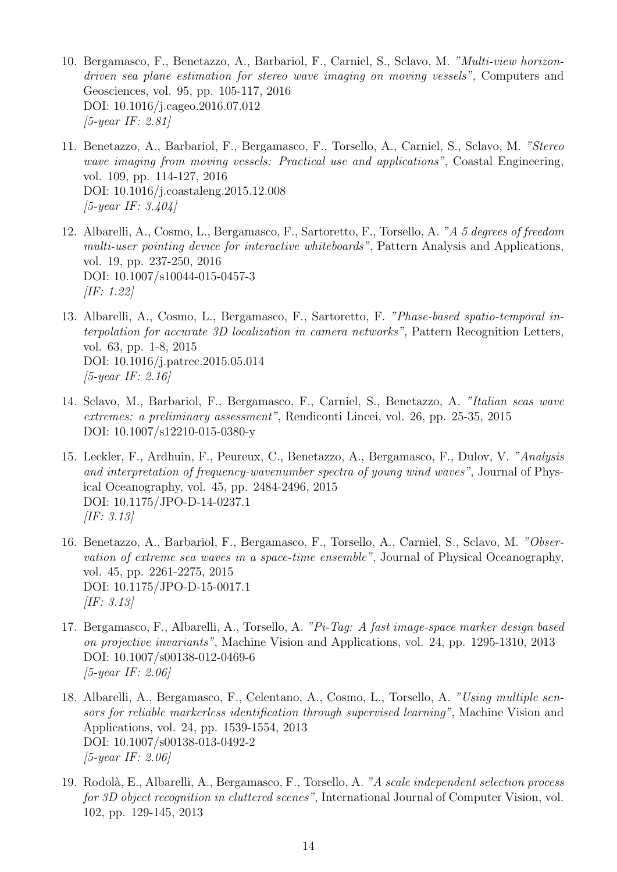- 10. Bergamasco, F., Benetazzo, A., Barbariol, F., Carniel, S., Sclavo, M. "Multi-view horizondriven sea plane estimation for stereo wave imaging on moving vessels", Computers and Geosciences, vol. 95, pp. 105-117, 2016 DOI: 10.1016/j.cageo.2016.07.012 [5-year IF: 2.81]
- 11. Benetazzo, A., Barbariol, F., Bergamasco, F., Torsello, A., Carniel, S., Sclavo, M. "Stereo wave imaging from moving vessels: Practical use and applications", Coastal Engineering, vol. 109, pp. 114-127, 2016 DOI: 10.1016/j.coastaleng.2015.12.008  $[5-year IF: 3.404]$
- 12. Albarelli, A., Cosmo, L., Bergamasco, F., Sartoretto, F., Torsello, A. "A 5 degrees of freedom multi-user pointing device for interactive whiteboards", Pattern Analysis and Applications, vol. 19, pp. 237-250, 2016 DOI: 10.1007/s10044-015-0457-3 [IF: 1.22]
- 13. Albarelli, A., Cosmo, L., Bergamasco, F., Sartoretto, F. "Phase-based spatio-temporal interpolation for accurate 3D localization in camera networks", Pattern Recognition Letters, vol. 63, pp. 1-8, 2015 DOI: 10.1016/j.patrec.2015.05.014 [5-year IF: 2.16]
- 14. Sclavo, M., Barbariol, F., Bergamasco, F., Carniel, S., Benetazzo, A. "Italian seas wave extremes: a preliminary assessment", Rendiconti Lincei, vol. 26, pp. 25-35, 2015 DOI: 10.1007/s12210-015-0380-y
- 15. Leckler, F., Ardhuin, F., Peureux, C., Benetazzo, A., Bergamasco, F., Dulov, V. "Analysis and interpretation of frequency-wavenumber spectra of young wind waves", Journal of Physical Oceanography, vol. 45, pp. 2484-2496, 2015 DOI: 10.1175/JPO-D-14-0237.1 [IF: 3.13]
- 16. Benetazzo, A., Barbariol, F., Bergamasco, F., Torsello, A., Carniel, S., Sclavo, M. "Observation of extreme sea waves in a space-time ensemble", Journal of Physical Oceanography, vol. 45, pp. 2261-2275, 2015 DOI: 10.1175/JPO-D-15-0017.1 [IF: 3.13]
- 17. Bergamasco, F., Albarelli, A., Torsello, A. "Pi-Tag: A fast image-space marker design based on projective invariants", Machine Vision and Applications, vol. 24, pp. 1295-1310, 2013 DOI: 10.1007/s00138-012-0469-6 [5-year IF: 2.06]
- 18. Albarelli, A., Bergamasco, F., Celentano, A., Cosmo, L., Torsello, A. "Using multiple sensors for reliable markerless identification through supervised learning", Machine Vision and Applications, vol. 24, pp. 1539-1554, 2013 DOI: 10.1007/s00138-013-0492-2 [5-year IF: 2.06]
- 19. Rodol`a, E., Albarelli, A., Bergamasco, F., Torsello, A. "A scale independent selection process for 3D object recognition in cluttered scenes", International Journal of Computer Vision, vol. 102, pp. 129-145, 2013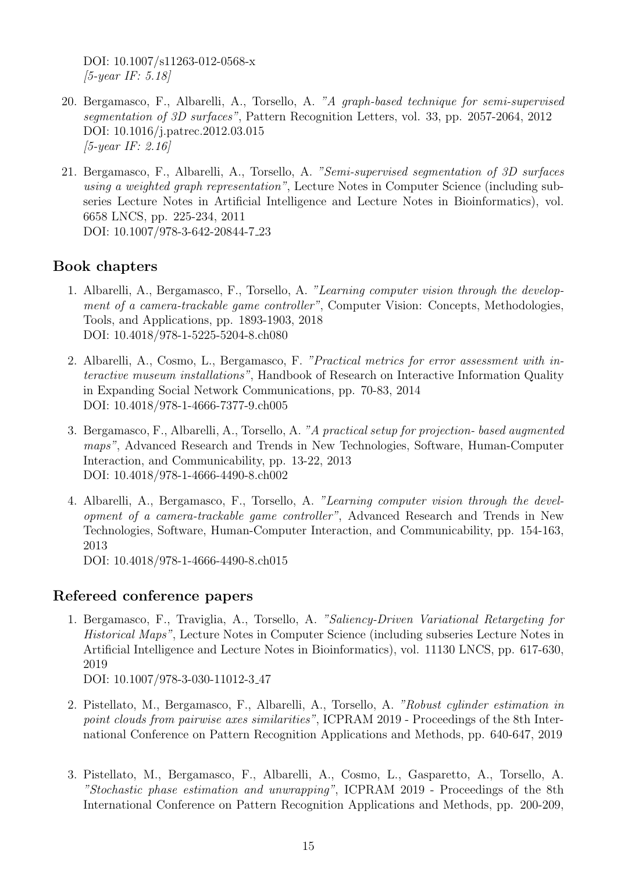DOI: 10.1007/s11263-012-0568-x [5-year IF: 5.18]

- 20. Bergamasco, F., Albarelli, A., Torsello, A. "A graph-based technique for semi-supervised segmentation of 3D surfaces", Pattern Recognition Letters, vol. 33, pp. 2057-2064, 2012 DOI: 10.1016/j.patrec.2012.03.015 [5-year IF: 2.16]
- 21. Bergamasco, F., Albarelli, A., Torsello, A. "Semi-supervised segmentation of 3D surfaces using a weighted graph representation", Lecture Notes in Computer Science (including subseries Lecture Notes in Artificial Intelligence and Lecture Notes in Bioinformatics), vol. 6658 LNCS, pp. 225-234, 2011 DOI: 10.1007/978-3-642-20844-7 23

### Book chapters

- 1. Albarelli, A., Bergamasco, F., Torsello, A. "Learning computer vision through the development of a camera-trackable game controller", Computer Vision: Concepts, Methodologies, Tools, and Applications, pp. 1893-1903, 2018 DOI: 10.4018/978-1-5225-5204-8.ch080
- 2. Albarelli, A., Cosmo, L., Bergamasco, F. "Practical metrics for error assessment with interactive museum installations", Handbook of Research on Interactive Information Quality in Expanding Social Network Communications, pp. 70-83, 2014 DOI: 10.4018/978-1-4666-7377-9.ch005
- 3. Bergamasco, F., Albarelli, A., Torsello, A. "A practical setup for projection- based augmented maps", Advanced Research and Trends in New Technologies, Software, Human-Computer Interaction, and Communicability, pp. 13-22, 2013 DOI: 10.4018/978-1-4666-4490-8.ch002
- 4. Albarelli, A., Bergamasco, F., Torsello, A. "Learning computer vision through the development of a camera-trackable game controller", Advanced Research and Trends in New Technologies, Software, Human-Computer Interaction, and Communicability, pp. 154-163, 2013

DOI: 10.4018/978-1-4666-4490-8.ch015

### Refereed conference papers

- 1. Bergamasco, F., Traviglia, A., Torsello, A. "Saliency-Driven Variational Retargeting for Historical Maps", Lecture Notes in Computer Science (including subseries Lecture Notes in Artificial Intelligence and Lecture Notes in Bioinformatics), vol. 11130 LNCS, pp. 617-630, 2019 DOI: 10.1007/978-3-030-11012-3 47
- 2. Pistellato, M., Bergamasco, F., Albarelli, A., Torsello, A. "Robust cylinder estimation in point clouds from pairwise axes similarities", ICPRAM 2019 - Proceedings of the 8th International Conference on Pattern Recognition Applications and Methods, pp. 640-647, 2019
- 3. Pistellato, M., Bergamasco, F., Albarelli, A., Cosmo, L., Gasparetto, A., Torsello, A. "Stochastic phase estimation and unwrapping", ICPRAM 2019 - Proceedings of the 8th International Conference on Pattern Recognition Applications and Methods, pp. 200-209,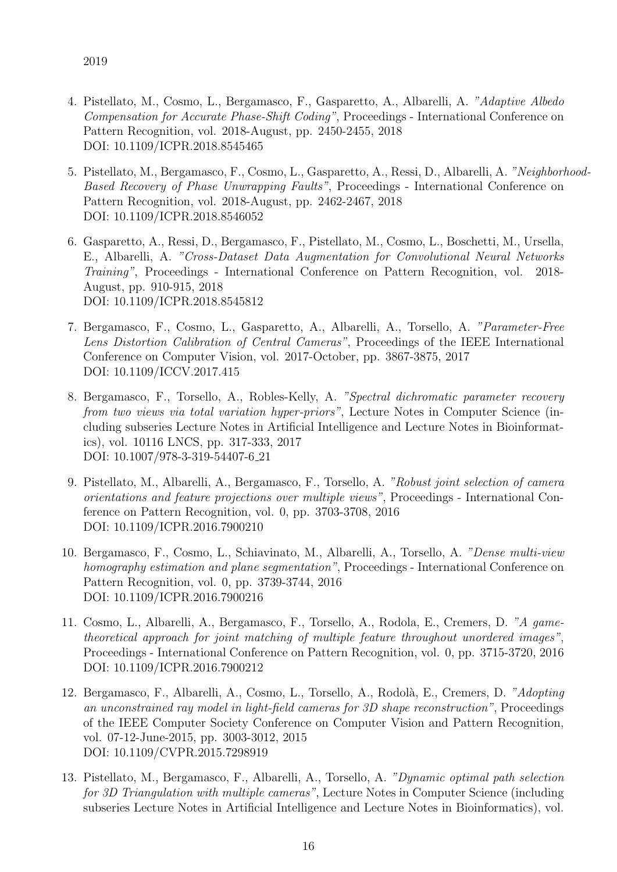- 4. Pistellato, M., Cosmo, L., Bergamasco, F., Gasparetto, A., Albarelli, A. "Adaptive Albedo Compensation for Accurate Phase-Shift Coding", Proceedings - International Conference on Pattern Recognition, vol. 2018-August, pp. 2450-2455, 2018 DOI: 10.1109/ICPR.2018.8545465
- 5. Pistellato, M., Bergamasco, F., Cosmo, L., Gasparetto, A., Ressi, D., Albarelli, A. "Neighborhood-Based Recovery of Phase Unwrapping Faults", Proceedings - International Conference on Pattern Recognition, vol. 2018-August, pp. 2462-2467, 2018 DOI: 10.1109/ICPR.2018.8546052
- 6. Gasparetto, A., Ressi, D., Bergamasco, F., Pistellato, M., Cosmo, L., Boschetti, M., Ursella, E., Albarelli, A. "Cross-Dataset Data Augmentation for Convolutional Neural Networks Training", Proceedings - International Conference on Pattern Recognition, vol. 2018- August, pp. 910-915, 2018 DOI: 10.1109/ICPR.2018.8545812
- 7. Bergamasco, F., Cosmo, L., Gasparetto, A., Albarelli, A., Torsello, A. "Parameter-Free Lens Distortion Calibration of Central Cameras", Proceedings of the IEEE International Conference on Computer Vision, vol. 2017-October, pp. 3867-3875, 2017 DOI: 10.1109/ICCV.2017.415
- 8. Bergamasco, F., Torsello, A., Robles-Kelly, A. "Spectral dichromatic parameter recovery from two views via total variation hyper-priors", Lecture Notes in Computer Science (including subseries Lecture Notes in Artificial Intelligence and Lecture Notes in Bioinformatics), vol. 10116 LNCS, pp. 317-333, 2017 DOI: 10.1007/978-3-319-54407-6 21
- 9. Pistellato, M., Albarelli, A., Bergamasco, F., Torsello, A. "Robust joint selection of camera orientations and feature projections over multiple views", Proceedings - International Conference on Pattern Recognition, vol. 0, pp. 3703-3708, 2016 DOI: 10.1109/ICPR.2016.7900210
- 10. Bergamasco, F., Cosmo, L., Schiavinato, M., Albarelli, A., Torsello, A. "Dense multi-view homography estimation and plane segmentation", Proceedings - International Conference on Pattern Recognition, vol. 0, pp. 3739-3744, 2016 DOI: 10.1109/ICPR.2016.7900216
- 11. Cosmo, L., Albarelli, A., Bergamasco, F., Torsello, A., Rodola, E., Cremers, D. "A gametheoretical approach for joint matching of multiple feature throughout unordered images", Proceedings - International Conference on Pattern Recognition, vol. 0, pp. 3715-3720, 2016 DOI: 10.1109/ICPR.2016.7900212
- 12. Bergamasco, F., Albarelli, A., Cosmo, L., Torsello, A., Rodolà, E., Cremers, D. "Adopting an unconstrained ray model in light-field cameras for 3D shape reconstruction", Proceedings of the IEEE Computer Society Conference on Computer Vision and Pattern Recognition, vol. 07-12-June-2015, pp. 3003-3012, 2015 DOI: 10.1109/CVPR.2015.7298919
- 13. Pistellato, M., Bergamasco, F., Albarelli, A., Torsello, A. "Dynamic optimal path selection for 3D Triangulation with multiple cameras", Lecture Notes in Computer Science (including subseries Lecture Notes in Artificial Intelligence and Lecture Notes in Bioinformatics), vol.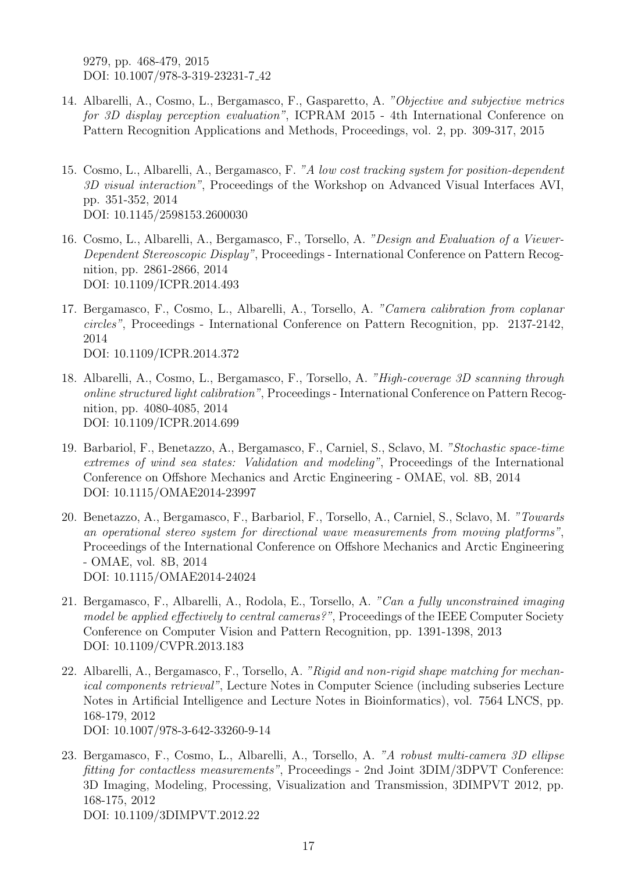9279, pp. 468-479, 2015 DOI: 10.1007/978-3-319-23231-7 42

- 14. Albarelli, A., Cosmo, L., Bergamasco, F., Gasparetto, A. "Objective and subjective metrics for 3D display perception evaluation", ICPRAM 2015 - 4th International Conference on Pattern Recognition Applications and Methods, Proceedings, vol. 2, pp. 309-317, 2015
- 15. Cosmo, L., Albarelli, A., Bergamasco, F. "A low cost tracking system for position-dependent 3D visual interaction", Proceedings of the Workshop on Advanced Visual Interfaces AVI, pp. 351-352, 2014 DOI: 10.1145/2598153.2600030
- 16. Cosmo, L., Albarelli, A., Bergamasco, F., Torsello, A. "Design and Evaluation of a Viewer-Dependent Stereoscopic Display", Proceedings - International Conference on Pattern Recognition, pp. 2861-2866, 2014 DOI: 10.1109/ICPR.2014.493
- 17. Bergamasco, F., Cosmo, L., Albarelli, A., Torsello, A. "Camera calibration from coplanar circles", Proceedings - International Conference on Pattern Recognition, pp. 2137-2142, 2014 DOI: 10.1109/ICPR.2014.372
- 18. Albarelli, A., Cosmo, L., Bergamasco, F., Torsello, A. "High-coverage 3D scanning through online structured light calibration", Proceedings - International Conference on Pattern Recognition, pp. 4080-4085, 2014 DOI: 10.1109/ICPR.2014.699
- 19. Barbariol, F., Benetazzo, A., Bergamasco, F., Carniel, S., Sclavo, M. "Stochastic space-time extremes of wind sea states: Validation and modeling", Proceedings of the International Conference on Offshore Mechanics and Arctic Engineering - OMAE, vol. 8B, 2014 DOI: 10.1115/OMAE2014-23997
- 20. Benetazzo, A., Bergamasco, F., Barbariol, F., Torsello, A., Carniel, S., Sclavo, M. "Towards an operational stereo system for directional wave measurements from moving platforms", Proceedings of the International Conference on Offshore Mechanics and Arctic Engineering - OMAE, vol. 8B, 2014 DOI: 10.1115/OMAE2014-24024
- 21. Bergamasco, F., Albarelli, A., Rodola, E., Torsello, A. "Can a fully unconstrained imaging model be applied effectively to central cameras?", Proceedings of the IEEE Computer Society Conference on Computer Vision and Pattern Recognition, pp. 1391-1398, 2013 DOI: 10.1109/CVPR.2013.183
- 22. Albarelli, A., Bergamasco, F., Torsello, A. "Rigid and non-rigid shape matching for mechanical components retrieval", Lecture Notes in Computer Science (including subseries Lecture Notes in Artificial Intelligence and Lecture Notes in Bioinformatics), vol. 7564 LNCS, pp. 168-179, 2012 DOI: 10.1007/978-3-642-33260-9-14
- 23. Bergamasco, F., Cosmo, L., Albarelli, A., Torsello, A. "A robust multi-camera 3D ellipse fitting for contactless measurements", Proceedings - 2nd Joint 3DIM/3DPVT Conference: 3D Imaging, Modeling, Processing, Visualization and Transmission, 3DIMPVT 2012, pp. 168-175, 2012 DOI: 10.1109/3DIMPVT.2012.22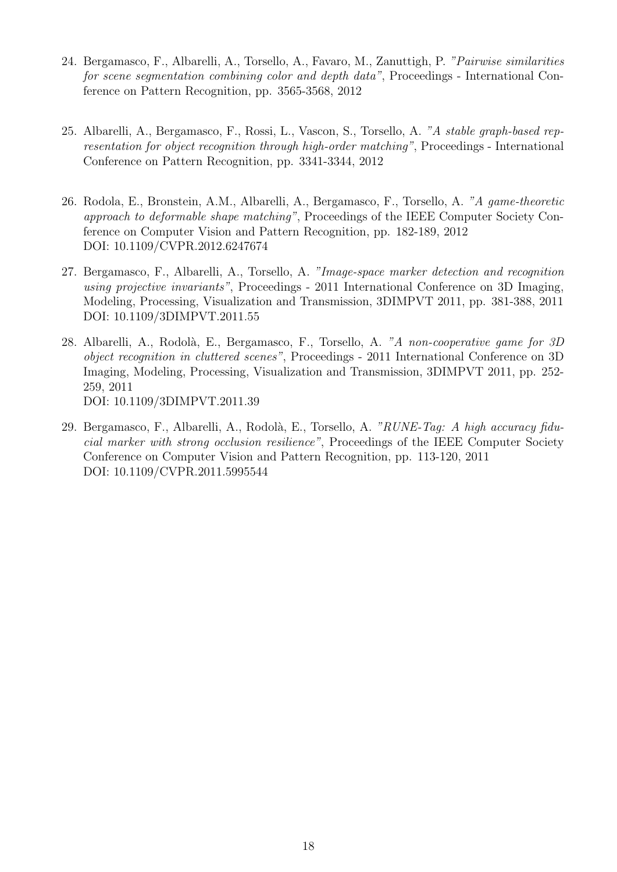- 24. Bergamasco, F., Albarelli, A., Torsello, A., Favaro, M., Zanuttigh, P. "Pairwise similarities for scene segmentation combining color and depth data", Proceedings - International Conference on Pattern Recognition, pp. 3565-3568, 2012
- 25. Albarelli, A., Bergamasco, F., Rossi, L., Vascon, S., Torsello, A. "A stable graph-based representation for object recognition through high-order matching", Proceedings - International Conference on Pattern Recognition, pp. 3341-3344, 2012
- 26. Rodola, E., Bronstein, A.M., Albarelli, A., Bergamasco, F., Torsello, A. "A game-theoretic approach to deformable shape matching", Proceedings of the IEEE Computer Society Conference on Computer Vision and Pattern Recognition, pp. 182-189, 2012 DOI: 10.1109/CVPR.2012.6247674
- 27. Bergamasco, F., Albarelli, A., Torsello, A. "Image-space marker detection and recognition using projective invariants", Proceedings - 2011 International Conference on 3D Imaging, Modeling, Processing, Visualization and Transmission, 3DIMPVT 2011, pp. 381-388, 2011 DOI: 10.1109/3DIMPVT.2011.55
- 28. Albarelli, A., Rodolà, E., Bergamasco, F., Torsello, A. "A non-cooperative game for 3D object recognition in cluttered scenes", Proceedings - 2011 International Conference on 3D Imaging, Modeling, Processing, Visualization and Transmission, 3DIMPVT 2011, pp. 252- 259, 2011 DOI: 10.1109/3DIMPVT.2011.39
- 29. Bergamasco, F., Albarelli, A., Rodolà, E., Torsello, A. "RUNE-Tag: A high accuracy fiducial marker with strong occlusion resilience", Proceedings of the IEEE Computer Society Conference on Computer Vision and Pattern Recognition, pp. 113-120, 2011 DOI: 10.1109/CVPR.2011.5995544